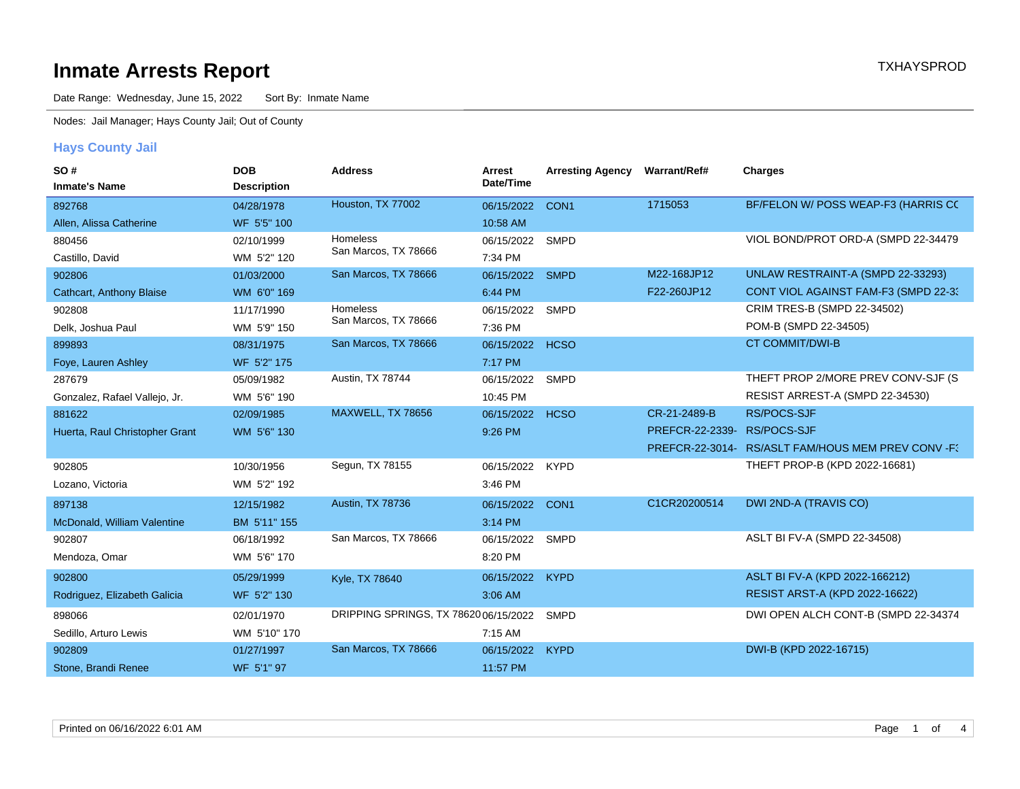# **Inmate Arrests Report TXHAYSPROD Inmate Arrests Report**

Date Range: Wednesday, June 15, 2022 Sort By: Inmate Name

Nodes: Jail Manager; Hays County Jail; Out of County

#### **Hays County Jail**

| SO#                             | <b>DOB</b>         | <b>Address</b>                        | Arrest     | <b>Arresting Agency</b> | Warrant/Ref#                 | <b>Charges</b>                                      |
|---------------------------------|--------------------|---------------------------------------|------------|-------------------------|------------------------------|-----------------------------------------------------|
| <b>Inmate's Name</b>            | <b>Description</b> |                                       | Date/Time  |                         |                              |                                                     |
| 892768                          | 04/28/1978         | Houston, TX 77002                     | 06/15/2022 | CON <sub>1</sub>        | 1715053                      | BF/FELON W/ POSS WEAP-F3 (HARRIS CC                 |
| Allen, Alissa Catherine         | WF 5'5" 100        |                                       | 10:58 AM   |                         |                              |                                                     |
| 880456                          | 02/10/1999         | Homeless                              | 06/15/2022 | <b>SMPD</b>             |                              | VIOL BOND/PROT ORD-A (SMPD 22-34479                 |
| Castillo, David                 | WM 5'2" 120        | San Marcos, TX 78666                  | 7:34 PM    |                         |                              |                                                     |
| 902806                          | 01/03/2000         | San Marcos, TX 78666                  | 06/15/2022 | <b>SMPD</b>             | M22-168JP12                  | UNLAW RESTRAINT-A (SMPD 22-33293)                   |
| <b>Cathcart, Anthony Blaise</b> | WM 6'0" 169        |                                       | 6:44 PM    |                         | F22-260JP12                  | CONT VIOL AGAINST FAM-F3 (SMPD 22-33)               |
| 902808                          | 11/17/1990         | <b>Homeless</b>                       | 06/15/2022 | <b>SMPD</b>             |                              | CRIM TRES-B (SMPD 22-34502)                         |
| Delk, Joshua Paul               | WM 5'9" 150        | San Marcos, TX 78666                  | 7:36 PM    |                         |                              | POM-B (SMPD 22-34505)                               |
| 899893                          | 08/31/1975         | San Marcos, TX 78666                  | 06/15/2022 | <b>HCSO</b>             |                              | <b>CT COMMIT/DWI-B</b>                              |
| Foye, Lauren Ashley             | WF 5'2" 175        |                                       | 7:17 PM    |                         |                              |                                                     |
| 287679                          | 05/09/1982         | Austin, TX 78744                      | 06/15/2022 | <b>SMPD</b>             |                              | THEFT PROP 2/MORE PREV CONV-SJF (S)                 |
| Gonzalez, Rafael Vallejo, Jr.   | WM 5'6" 190        |                                       | 10:45 PM   |                         |                              | RESIST ARREST-A (SMPD 22-34530)                     |
| 881622                          | 02/09/1985         | MAXWELL, TX 78656                     | 06/15/2022 | <b>HCSO</b>             | CR-21-2489-B                 | <b>RS/POCS-SJF</b>                                  |
| Huerta, Raul Christopher Grant  | WM 5'6" 130        |                                       | 9:26 PM    |                         | PREFCR-22-2339-I RS/POCS-SJF |                                                     |
|                                 |                    |                                       |            |                         |                              | PREFCR-22-3014- RS/ASLT FAM/HOUS MEM PREV CONV - F3 |
| 902805                          | 10/30/1956         | Segun, TX 78155                       | 06/15/2022 | <b>KYPD</b>             |                              | THEFT PROP-B (KPD 2022-16681)                       |
| Lozano, Victoria                | WM 5'2" 192        |                                       | 3:46 PM    |                         |                              |                                                     |
| 897138                          | 12/15/1982         | Austin, TX 78736                      | 06/15/2022 | CON <sub>1</sub>        | C1CR20200514                 | <b>DWI 2ND-A (TRAVIS CO)</b>                        |
| McDonald, William Valentine     | BM 5'11" 155       |                                       | 3:14 PM    |                         |                              |                                                     |
| 902807                          | 06/18/1992         | San Marcos, TX 78666                  | 06/15/2022 | <b>SMPD</b>             |                              | ASLT BI FV-A (SMPD 22-34508)                        |
| Mendoza, Omar                   | WM 5'6" 170        |                                       | 8:20 PM    |                         |                              |                                                     |
| 902800                          | 05/29/1999         | Kyle, TX 78640                        | 06/15/2022 | <b>KYPD</b>             |                              | ASLT BI FV-A (KPD 2022-166212)                      |
| Rodriguez, Elizabeth Galicia    | WF 5'2" 130        |                                       | 3:06 AM    |                         |                              | <b>RESIST ARST-A (KPD 2022-16622)</b>               |
| 898066                          | 02/01/1970         | DRIPPING SPRINGS, TX 78620 06/15/2022 |            | <b>SMPD</b>             |                              | DWI OPEN ALCH CONT-B (SMPD 22-34374                 |
| Sedillo, Arturo Lewis           | WM 5'10" 170       |                                       | 7:15 AM    |                         |                              |                                                     |
| 902809                          | 01/27/1997         | San Marcos, TX 78666                  | 06/15/2022 | <b>KYPD</b>             |                              | DWI-B (KPD 2022-16715)                              |
| Stone, Brandi Renee             | WF 5'1" 97         |                                       | 11:57 PM   |                         |                              |                                                     |
|                                 |                    |                                       |            |                         |                              |                                                     |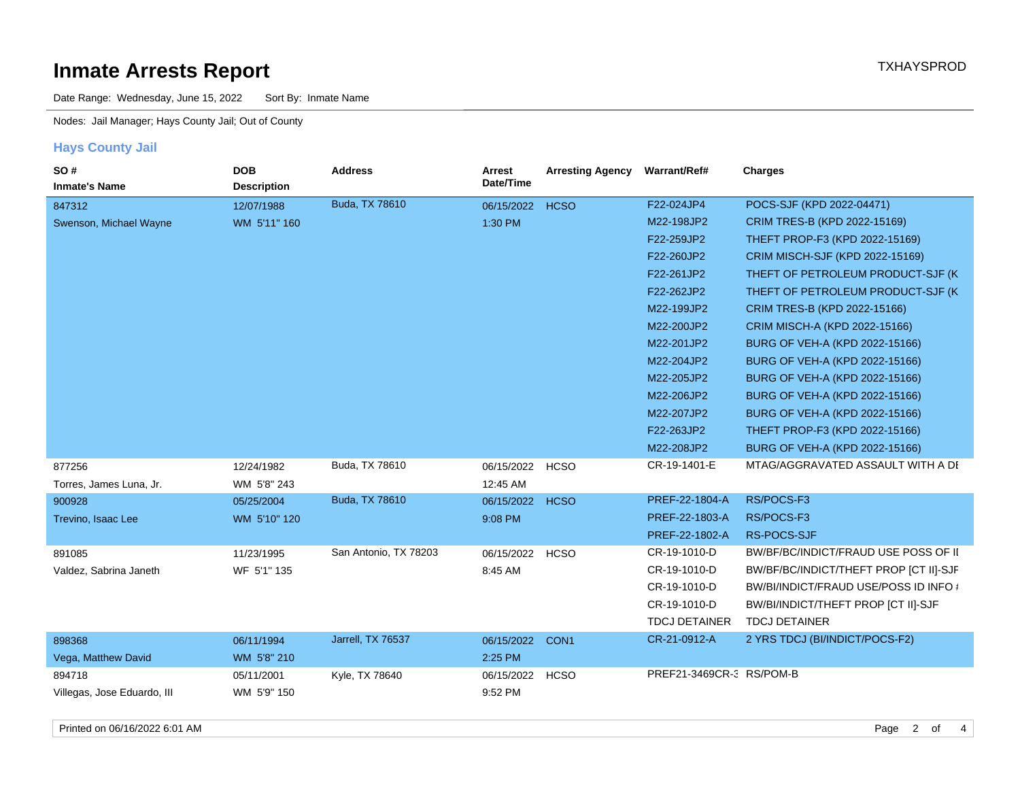# **Inmate Arrests Report TXHAYSPROD**

Date Range: Wednesday, June 15, 2022 Sort By: Inmate Name

Nodes: Jail Manager; Hays County Jail; Out of County

#### **Hays County Jail**

| SO#<br><b>Inmate's Name</b> | <b>DOB</b><br><b>Description</b> | <b>Address</b>        | Arrest<br>Date/Time | <b>Arresting Agency</b> | Warrant/Ref#             | Charges                                |
|-----------------------------|----------------------------------|-----------------------|---------------------|-------------------------|--------------------------|----------------------------------------|
| 847312                      | 12/07/1988                       | Buda, TX 78610        | 06/15/2022          | <b>HCSO</b>             | F22-024JP4               | POCS-SJF (KPD 2022-04471)              |
| Swenson, Michael Wayne      | WM 5'11" 160                     |                       | 1:30 PM             |                         | M22-198JP2               | CRIM TRES-B (KPD 2022-15169)           |
|                             |                                  |                       |                     |                         | F22-259JP2               | THEFT PROP-F3 (KPD 2022-15169)         |
|                             |                                  |                       |                     |                         | F22-260JP2               | CRIM MISCH-SJF (KPD 2022-15169)        |
|                             |                                  |                       |                     |                         | F22-261JP2               | THEFT OF PETROLEUM PRODUCT-SJF (K)     |
|                             |                                  |                       |                     |                         | F22-262JP2               | THEFT OF PETROLEUM PRODUCT-SJF (K)     |
|                             |                                  |                       |                     |                         | M22-199JP2               | CRIM TRES-B (KPD 2022-15166)           |
|                             |                                  |                       |                     |                         | M22-200JP2               | CRIM MISCH-A (KPD 2022-15166)          |
|                             |                                  |                       |                     |                         | M22-201JP2               | BURG OF VEH-A (KPD 2022-15166)         |
|                             |                                  |                       |                     |                         | M22-204JP2               | BURG OF VEH-A (KPD 2022-15166)         |
|                             |                                  |                       |                     |                         | M22-205JP2               | BURG OF VEH-A (KPD 2022-15166)         |
|                             |                                  |                       |                     |                         | M22-206JP2               | BURG OF VEH-A (KPD 2022-15166)         |
|                             |                                  |                       |                     |                         | M22-207JP2               | BURG OF VEH-A (KPD 2022-15166)         |
|                             |                                  |                       |                     |                         | F22-263JP2               | THEFT PROP-F3 (KPD 2022-15166)         |
|                             |                                  |                       |                     |                         | M22-208JP2               | BURG OF VEH-A (KPD 2022-15166)         |
| 877256                      | 12/24/1982                       | Buda, TX 78610        | 06/15/2022 HCSO     |                         | CR-19-1401-E             | MTAG/AGGRAVATED ASSAULT WITH A DI      |
| Torres, James Luna, Jr.     | WM 5'8" 243                      |                       | 12:45 AM            |                         |                          |                                        |
| 900928                      | 05/25/2004                       | Buda, TX 78610        | 06/15/2022          | <b>HCSO</b>             | PREF-22-1804-A           | RS/POCS-F3                             |
| Trevino, Isaac Lee          | WM 5'10" 120                     |                       | 9:08 PM             |                         | PREF-22-1803-A           | RS/POCS-F3                             |
|                             |                                  |                       |                     |                         | PREF-22-1802-A           | RS-POCS-SJF                            |
| 891085                      | 11/23/1995                       | San Antonio, TX 78203 | 06/15/2022          | <b>HCSO</b>             | CR-19-1010-D             | BW/BF/BC/INDICT/FRAUD USE POSS OF II   |
| Valdez, Sabrina Janeth      | WF 5'1" 135                      |                       | 8:45 AM             |                         | CR-19-1010-D             | BW/BF/BC/INDICT/THEFT PROP [CT II]-SJF |
|                             |                                  |                       |                     |                         | CR-19-1010-D             | BW/BI/INDICT/FRAUD USE/POSS ID INFO #  |
|                             |                                  |                       |                     |                         | CR-19-1010-D             | BW/BI/INDICT/THEFT PROP [CT II]-SJF    |
|                             |                                  |                       |                     |                         | <b>TDCJ DETAINER</b>     | <b>TDCJ DETAINER</b>                   |
| 898368                      | 06/11/1994                       | Jarrell, TX 76537     | 06/15/2022          | CON <sub>1</sub>        | CR-21-0912-A             | 2 YRS TDCJ (BI/INDICT/POCS-F2)         |
| Vega, Matthew David         | WM 5'8" 210                      |                       | 2:25 PM             |                         |                          |                                        |
| 894718                      | 05/11/2001                       | Kyle, TX 78640        | 06/15/2022          | <b>HCSO</b>             | PREF21-3469CR-3 RS/POM-B |                                        |
| Villegas, Jose Eduardo, III | WM 5'9" 150                      |                       | 9:52 PM             |                         |                          |                                        |
|                             |                                  |                       |                     |                         |                          |                                        |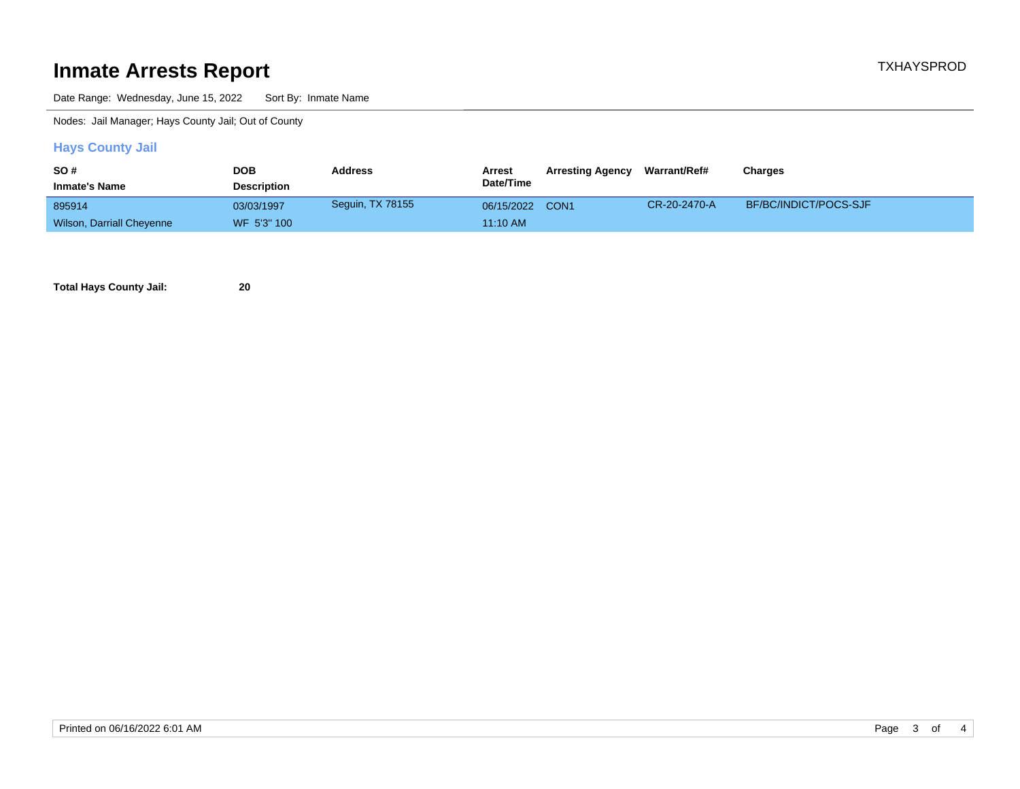# **Inmate Arrests Report TXHAYSPROD**

Date Range: Wednesday, June 15, 2022 Sort By: Inmate Name

Nodes: Jail Manager; Hays County Jail; Out of County

#### **Hays County Jail**

| <b>SO#</b>                | DOB                | <b>Address</b>   | Arrest          | <b>Arresting Agency</b> | Warrant/Ref# | Charges               |
|---------------------------|--------------------|------------------|-----------------|-------------------------|--------------|-----------------------|
| <b>Inmate's Name</b>      | <b>Description</b> |                  | Date/Time       |                         |              |                       |
| 895914                    | 03/03/1997         | Seguin, TX 78155 | 06/15/2022 CON1 |                         | CR-20-2470-A | BF/BC/INDICT/POCS-SJF |
| Wilson, Darriall Cheyenne | WF 5'3" 100        |                  | 11:10 AM        |                         |              |                       |

**Total Hays County Jail: 20**